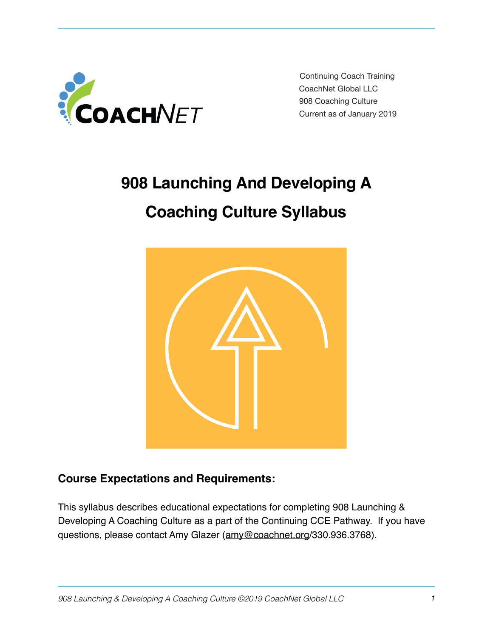

Continuing Coach Training CoachNet Global LLC 908 Coaching Culture Current as of January 2019

# **908 Launching And Developing A Coaching Culture Syllabus**



# **Course Expectations and Requirements:**

This syllabus describes educational expectations for completing 908 Launching & Developing A Coaching Culture as a part of the Continuing CCE Pathway. If you have questions, please contact Amy Glazer [\(amy@coachnet.org](mailto:amy@coachnet.org)/330.936.3768).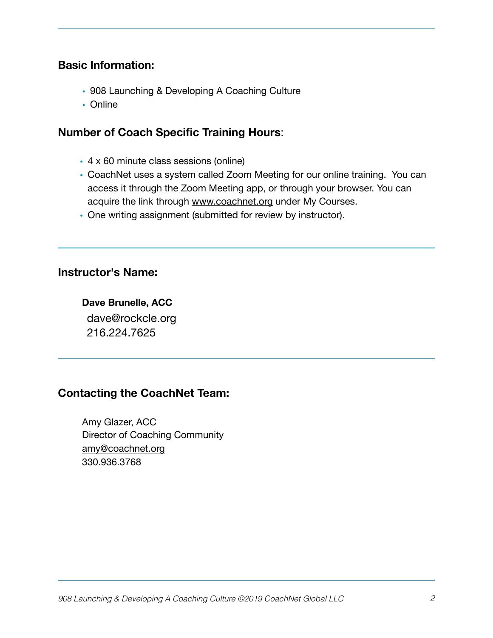#### **Basic Information:**

- 908 Launching & Developing A Coaching Culture
- Online

#### **Number of Coach Specific Training Hours**:

- 4 x 60 minute class sessions (online)
- CoachNet uses a system called Zoom Meeting for our online training. You can access it through the Zoom Meeting app, or through your browser. You can acquire the link through [www.coachnet.org](http://www.coachnet.org) under My Courses.
- One writing assignment (submitted for review by instructor).

#### **Instructor's Name:**

 **Dave Brunelle, ACC** dave@rockcle.org 216.224.7625

## **Contacting the CoachNet Team:**

Amy Glazer, ACC Director of Coaching Community [amy@coachnet.org](mailto:amy@coachnet.org) 330.936.3768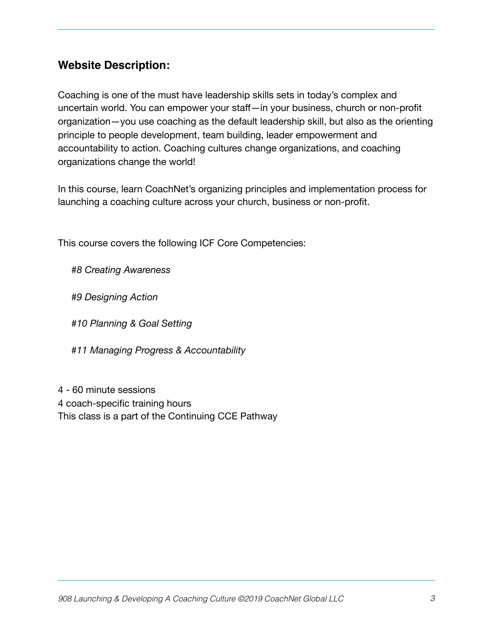# **Website Description:**

Coaching is one of the must have leadership skills sets in today's complex and uncertain world. You can empower your staff—in your business, church or non-profit organization—you use coaching as the default leadership skill, but also as the orienting principle to people development, team building, leader empowerment and accountability to action. Coaching cultures change organizations, and coaching organizations change the world!

In this course, learn CoachNet's organizing principles and implementation process for launching a coaching culture across your church, business or non-profit.

This course covers the following ICF Core Competencies:

*#8 Creating Awareness* 

 *#9 Designing Action* 

 *#10 Planning & Goal Setting* 

 *#11 Managing Progress & Accountability* 

4 - 60 minute sessions 4 coach-specific training hours This class is a part of the Continuing CCE Pathway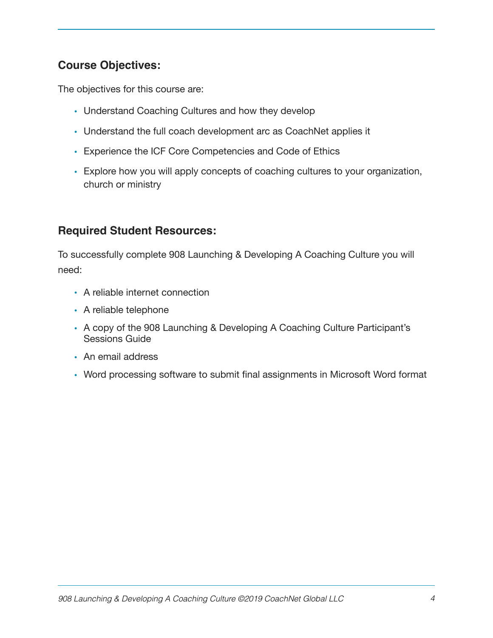# **Course Objectives:**

The objectives for this course are:

- Understand Coaching Cultures and how they develop
- Understand the full coach development arc as CoachNet applies it
- Experience the ICF Core Competencies and Code of Ethics
- Explore how you will apply concepts of coaching cultures to your organization, church or ministry

## **Required Student Resources:**

To successfully complete 908 Launching & Developing A Coaching Culture you will need:

- A reliable internet connection
- A reliable telephone
- A copy of the 908 Launching & Developing A Coaching Culture Participant's Sessions Guide
- An email address
- Word processing software to submit final assignments in Microsoft Word format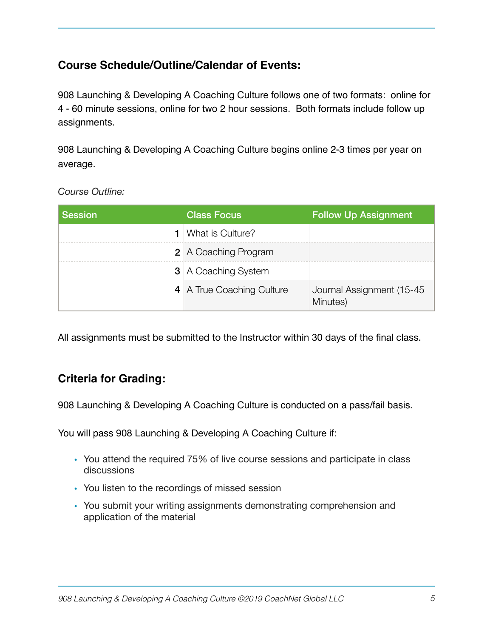# **Course Schedule/Outline/Calendar of Events:**

908 Launching & Developing A Coaching Culture follows one of two formats: online for 4 - 60 minute sessions, online for two 2 hour sessions. Both formats include follow up assignments.

908 Launching & Developing A Coaching Culture begins online 2-3 times per year on average.

*Course Outline:* 

| <b>Session</b> | <b>Class Focus</b>           | <b>Follow Up Assignment</b>            |
|----------------|------------------------------|----------------------------------------|
|                | <b>1</b>   What is Culture?  |                                        |
|                | <b>2</b> A Coaching Program  |                                        |
|                | <b>3</b>   A Coaching System |                                        |
|                | 4 A True Coaching Culture    | Journal Assignment (15-45)<br>Minutes) |

All assignments must be submitted to the Instructor within 30 days of the final class.

# **Criteria for Grading:**

908 Launching & Developing A Coaching Culture is conducted on a pass/fail basis.

You will pass 908 Launching & Developing A Coaching Culture if:

- You attend the required 75% of live course sessions and participate in class discussions
- You listen to the recordings of missed session
- You submit your writing assignments demonstrating comprehension and application of the material